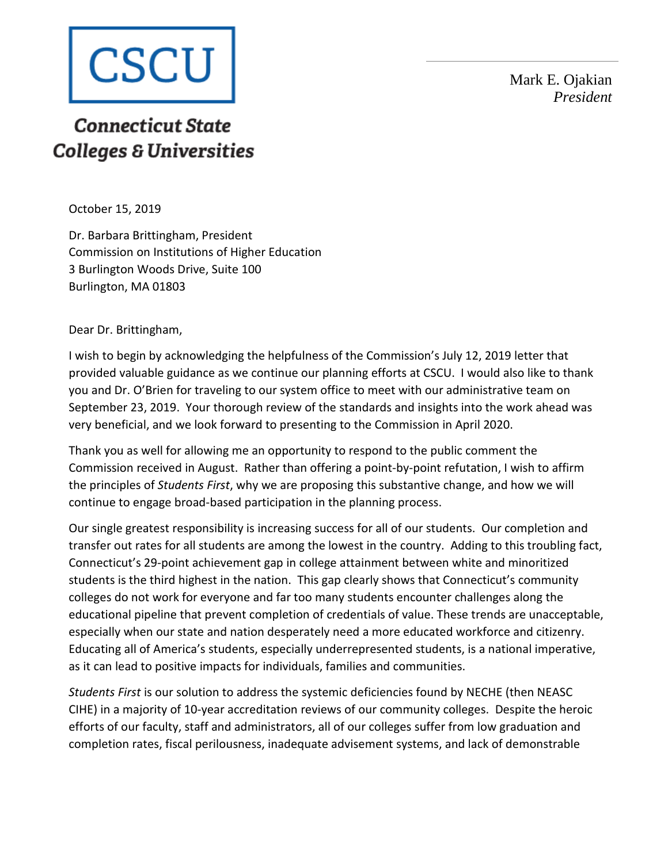

Mark E. Ojakian *President*

## **Connecticut State Colleges & Universities**

October 15, 2019

Dr. Barbara Brittingham, President Commission on Institutions of Higher Education 3 Burlington Woods Drive, Suite 100 Burlington, MA 01803

Dear Dr. Brittingham,

I wish to begin by acknowledging the helpfulness of the Commission's July 12, 2019 letter that provided valuable guidance as we continue our planning efforts at CSCU. I would also like to thank you and Dr. O'Brien for traveling to our system office to meet with our administrative team on September 23, 2019. Your thorough review of the standards and insights into the work ahead was very beneficial, and we look forward to presenting to the Commission in April 2020.

Thank you as well for allowing me an opportunity to respond to the public comment the Commission received in August. Rather than offering a point-by-point refutation, I wish to affirm the principles of *Students First*, why we are proposing this substantive change, and how we will continue to engage broad-based participation in the planning process.

Our single greatest responsibility is increasing success for all of our students. Our completion and transfer out rates for all students are among the lowest in the country. Adding to this troubling fact, Connecticut's 29-point achievement gap in college attainment between white and minoritized students is the third highest in the nation. This gap clearly shows that Connecticut's community colleges do not work for everyone and far too many students encounter challenges along the educational pipeline that prevent completion of credentials of value. These trends are unacceptable, especially when our state and nation desperately need a more educated workforce and citizenry. Educating all of America's students, especially underrepresented students, is a national imperative, as it can lead to positive impacts for individuals, families and communities.

*Students First* is our solution to address the systemic deficiencies found by NECHE (then NEASC CIHE) in a majority of 10-year accreditation reviews of our community colleges. Despite the heroic efforts of our faculty, staff and administrators, all of our colleges suffer from low graduation and completion rates, fiscal perilousness, inadequate advisement systems, and lack of demonstrable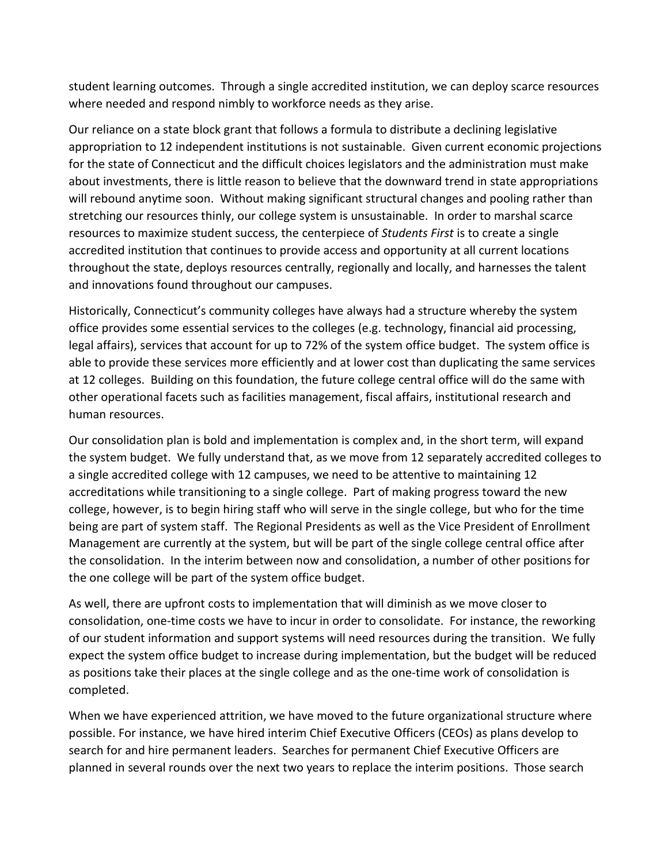student learning outcomes. Through a single accredited institution, we can deploy scarce resources where needed and respond nimbly to workforce needs as they arise.

Our reliance on a state block grant that follows a formula to distribute a declining legislative appropriation to 12 independent institutions is not sustainable. Given current economic projections for the state of Connecticut and the difficult choices legislators and the administration must make about investments, there is little reason to believe that the downward trend in state appropriations will rebound anytime soon. Without making significant structural changes and pooling rather than stretching our resources thinly, our college system is unsustainable. In order to marshal scarce resources to maximize student success, the centerpiece of *Students First* is to create a single accredited institution that continues to provide access and opportunity at all current locations throughout the state, deploys resources centrally, regionally and locally, and harnesses the talent and innovations found throughout our campuses.

Historically, Connecticut's community colleges have always had a structure whereby the system office provides some essential services to the colleges (e.g. technology, financial aid processing, legal affairs), services that account for up to 72% of the system office budget. The system office is able to provide these services more efficiently and at lower cost than duplicating the same services at 12 colleges. Building on this foundation, the future college central office will do the same with other operational facets such as facilities management, fiscal affairs, institutional research and human resources.

Our consolidation plan is bold and implementation is complex and, in the short term, will expand the system budget. We fully understand that, as we move from 12 separately accredited colleges to a single accredited college with 12 campuses, we need to be attentive to maintaining 12 accreditations while transitioning to a single college. Part of making progress toward the new college, however, is to begin hiring staff who will serve in the single college, but who for the time being are part of system staff. The Regional Presidents as well as the Vice President of Enrollment Management are currently at the system, but will be part of the single college central office after the consolidation. In the interim between now and consolidation, a number of other positions for the one college will be part of the system office budget.

As well, there are upfront costs to implementation that will diminish as we move closer to consolidation, one-time costs we have to incur in order to consolidate. For instance, the reworking of our student information and support systems will need resources during the transition. We fully expect the system office budget to increase during implementation, but the budget will be reduced as positions take their places at the single college and as the one-time work of consolidation is completed.

When we have experienced attrition, we have moved to the future organizational structure where possible. For instance, we have hired interim Chief Executive Officers (CEOs) as plans develop to search for and hire permanent leaders. Searches for permanent Chief Executive Officers are planned in several rounds over the next two years to replace the interim positions. Those search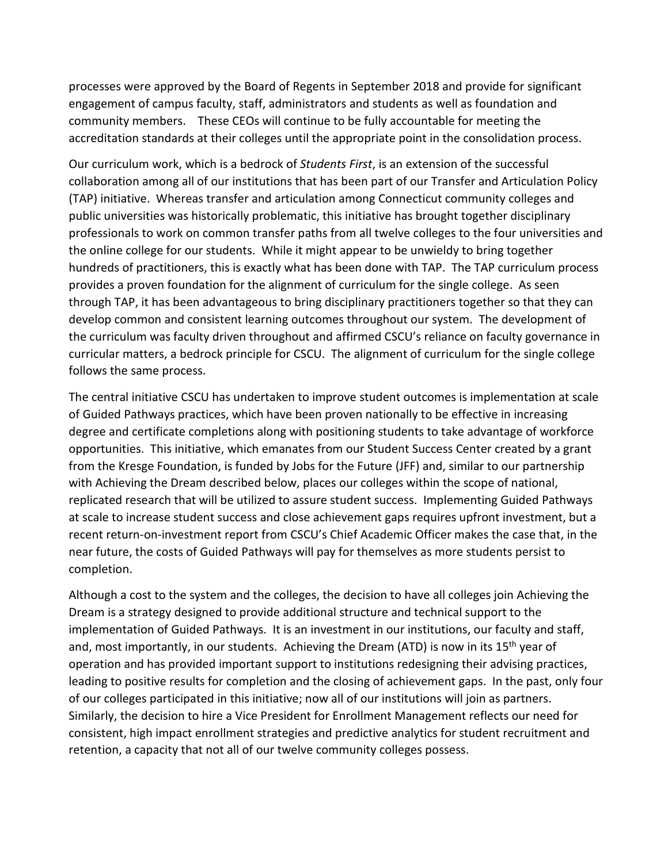processes were approved by the Board of Regents in September 2018 and provide for significant engagement of campus faculty, staff, administrators and students as well as foundation and community members. These CEOs will continue to be fully accountable for meeting the accreditation standards at their colleges until the appropriate point in the consolidation process.

Our curriculum work, which is a bedrock of *Students First*, is an extension of the successful collaboration among all of our institutions that has been part of our Transfer and Articulation Policy (TAP) initiative. Whereas transfer and articulation among Connecticut community colleges and public universities was historically problematic, this initiative has brought together disciplinary professionals to work on common transfer paths from all twelve colleges to the four universities and the online college for our students. While it might appear to be unwieldy to bring together hundreds of practitioners, this is exactly what has been done with TAP. The TAP curriculum process provides a proven foundation for the alignment of curriculum for the single college. As seen through TAP, it has been advantageous to bring disciplinary practitioners together so that they can develop common and consistent learning outcomes throughout our system. The development of the curriculum was faculty driven throughout and affirmed CSCU's reliance on faculty governance in curricular matters, a bedrock principle for CSCU. The alignment of curriculum for the single college follows the same process.

The central initiative CSCU has undertaken to improve student outcomes is implementation at scale of Guided Pathways practices, which have been proven nationally to be effective in increasing degree and certificate completions along with positioning students to take advantage of workforce opportunities. This initiative, which emanates from our Student Success Center created by a grant from the Kresge Foundation, is funded by Jobs for the Future (JFF) and, similar to our partnership with Achieving the Dream described below, places our colleges within the scope of national, replicated research that will be utilized to assure student success. Implementing Guided Pathways at scale to increase student success and close achievement gaps requires upfront investment, but a recent return-on-investment report from CSCU's Chief Academic Officer makes the case that, in the near future, the costs of Guided Pathways will pay for themselves as more students persist to completion.

Although a cost to the system and the colleges, the decision to have all colleges join Achieving the Dream is a strategy designed to provide additional structure and technical support to the implementation of Guided Pathways. It is an investment in our institutions, our faculty and staff, and, most importantly, in our students. Achieving the Dream (ATD) is now in its 15<sup>th</sup> year of operation and has provided important support to institutions redesigning their advising practices, leading to positive results for completion and the closing of achievement gaps. In the past, only four of our colleges participated in this initiative; now all of our institutions will join as partners. Similarly, the decision to hire a Vice President for Enrollment Management reflects our need for consistent, high impact enrollment strategies and predictive analytics for student recruitment and retention, a capacity that not all of our twelve community colleges possess.